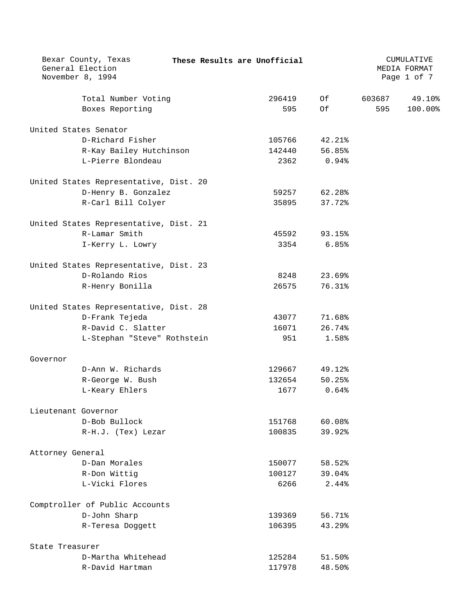| Bexar County, Texas<br>General Election<br>November 8, 1994 |  | These Results are Unofficial |        |        | CUMULATIVE<br>MEDIA FORMAT<br>Page 1 of 7 |
|-------------------------------------------------------------|--|------------------------------|--------|--------|-------------------------------------------|
| Total Number Voting                                         |  | 296419                       | Of     | 603687 | 49.10%                                    |
| Boxes Reporting                                             |  | 595                          | Of     | 595    | 100.00%                                   |
| United States Senator                                       |  |                              |        |        |                                           |
| D-Richard Fisher                                            |  | 105766                       | 42.21% |        |                                           |
| R-Kay Bailey Hutchinson                                     |  | 142440                       | 56.85% |        |                                           |
| L-Pierre Blondeau                                           |  | 2362                         | 0.94%  |        |                                           |
| United States Representative, Dist. 20                      |  |                              |        |        |                                           |
| D-Henry B. Gonzalez                                         |  | 59257                        | 62.28% |        |                                           |
| R-Carl Bill Colyer                                          |  | 35895                        | 37.72% |        |                                           |
| United States Representative, Dist. 21                      |  |                              |        |        |                                           |
| R-Lamar Smith                                               |  | 45592                        | 93.15% |        |                                           |
| I-Kerry L. Lowry                                            |  | 3354                         | 6.85%  |        |                                           |
| United States Representative, Dist. 23                      |  |                              |        |        |                                           |
| D-Rolando Rios                                              |  | 8248                         | 23.69% |        |                                           |
| R-Henry Bonilla                                             |  | 26575                        | 76.31% |        |                                           |
| United States Representative, Dist. 28                      |  |                              |        |        |                                           |
| D-Frank Tejeda                                              |  | 43077                        | 71.68% |        |                                           |
| R-David C. Slatter                                          |  | 16071                        | 26.74% |        |                                           |
| L-Stephan "Steve" Rothstein                                 |  | 951                          | 1.58%  |        |                                           |
| Governor                                                    |  |                              |        |        |                                           |
| D-Ann W. Richards                                           |  | 129667                       | 49.12% |        |                                           |
| R-George W. Bush                                            |  | 132654                       | 50.25% |        |                                           |
| L-Keary Ehlers                                              |  | 1677                         | 0.64%  |        |                                           |
| Lieutenant Governor                                         |  |                              |        |        |                                           |
| D-Bob Bullock                                               |  | 151768                       | 60.08% |        |                                           |
| R-H.J. (Tex) Lezar                                          |  | 100835                       | 39.92% |        |                                           |
| Attorney General                                            |  |                              |        |        |                                           |
| D-Dan Morales                                               |  | 150077                       | 58.52% |        |                                           |
| R-Don Wittig                                                |  | 100127                       | 39.04% |        |                                           |
| L-Vicki Flores                                              |  | 6266                         | 2.44%  |        |                                           |
| Comptroller of Public Accounts                              |  |                              |        |        |                                           |
| D-John Sharp                                                |  | 139369                       | 56.71% |        |                                           |
| R-Teresa Doggett                                            |  | 106395                       | 43.29% |        |                                           |
| State Treasurer                                             |  |                              |        |        |                                           |
| D-Martha Whitehead                                          |  | 125284                       | 51.50% |        |                                           |
| R-David Hartman                                             |  | 117978                       | 48.50% |        |                                           |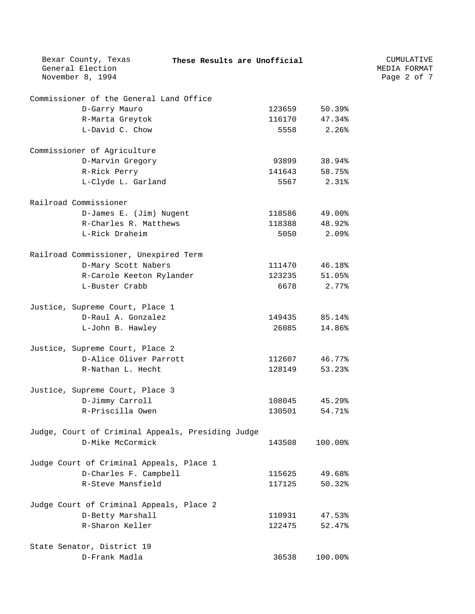| Bexar County, Texas                               | These Results are Unofficial |        |         | CUMULATIVE   |  |
|---------------------------------------------------|------------------------------|--------|---------|--------------|--|
| General Election                                  |                              |        |         | MEDIA FORMAT |  |
| November 8, 1994                                  |                              |        |         | Page 2 of 7  |  |
| Commissioner of the General Land Office           |                              |        |         |              |  |
| D-Garry Mauro                                     |                              | 123659 | 50.39%  |              |  |
| R-Marta Greytok                                   |                              | 116170 | 47.34%  |              |  |
| L-David C. Chow                                   |                              | 5558   | 2.26%   |              |  |
| Commissioner of Agriculture                       |                              |        |         |              |  |
| D-Marvin Gregory                                  |                              | 93899  | 38.94%  |              |  |
| R-Rick Perry                                      |                              | 141643 | 58.75%  |              |  |
| L-Clyde L. Garland                                |                              | 5567   | 2.31%   |              |  |
| Railroad Commissioner                             |                              |        |         |              |  |
| D-James E. (Jim) Nugent                           |                              | 118586 | 49.00%  |              |  |
| R-Charles R. Matthews                             |                              | 118388 | 48.92%  |              |  |
| L-Rick Draheim                                    |                              | 5050   | 2.09%   |              |  |
| Railroad Commissioner, Unexpired Term             |                              |        |         |              |  |
| D-Mary Scott Nabers                               |                              | 111470 | 46.18%  |              |  |
| R-Carole Keeton Rylander                          |                              | 123235 | 51.05%  |              |  |
| L-Buster Crabb                                    |                              | 6678   | 2.77%   |              |  |
| Justice, Supreme Court, Place 1                   |                              |        |         |              |  |
| D-Raul A. Gonzalez                                |                              | 149435 | 85.14%  |              |  |
| L-John B. Hawley                                  |                              | 26085  | 14.86%  |              |  |
| Justice, Supreme Court, Place 2                   |                              |        |         |              |  |
| D-Alice Oliver Parrott                            |                              | 112607 | 46.77%  |              |  |
| R-Nathan L. Hecht                                 |                              | 128149 | 53.23%  |              |  |
| Justice, Supreme Court, Place 3                   |                              |        |         |              |  |
| D-Jimmy Carroll                                   |                              | 108045 | 45.29%  |              |  |
| R-Priscilla Owen                                  |                              | 130501 | 54.71%  |              |  |
| Judge, Court of Criminal Appeals, Presiding Judge |                              |        |         |              |  |
| D-Mike McCormick                                  |                              | 143508 | 100.00% |              |  |
| Judge Court of Criminal Appeals, Place 1          |                              |        |         |              |  |
| D-Charles F. Campbell                             |                              | 115625 | 49.68%  |              |  |
| R-Steve Mansfield                                 |                              | 117125 | 50.32%  |              |  |
| Judge Court of Criminal Appeals, Place 2          |                              |        |         |              |  |
| D-Betty Marshall                                  |                              | 110931 | 47.53%  |              |  |
| R-Sharon Keller                                   |                              | 122475 | 52.47%  |              |  |
| State Senator, District 19                        |                              |        |         |              |  |
| D-Frank Madla                                     |                              | 36538  | 100.00% |              |  |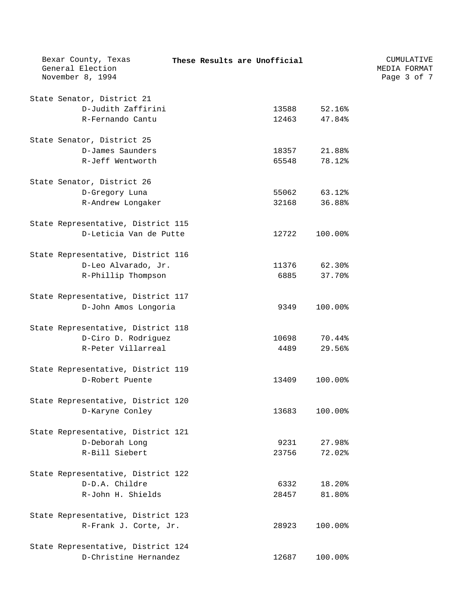| Bexar County, Texas<br>General Election<br>November 8, 1994 |  | These Results are Unofficial |         | CUMULATIVE<br>MEDIA FORMAT<br>Page 3 of 7 |  |
|-------------------------------------------------------------|--|------------------------------|---------|-------------------------------------------|--|
|                                                             |  |                              |         |                                           |  |
| State Senator, District 21                                  |  |                              |         |                                           |  |
| D-Judith Zaffirini                                          |  | 13588                        | 52.16%  |                                           |  |
| R-Fernando Cantu                                            |  | 12463                        | 47.84%  |                                           |  |
|                                                             |  |                              |         |                                           |  |
| State Senator, District 25                                  |  |                              |         |                                           |  |
| D-James Saunders                                            |  | 18357                        | 21.88%  |                                           |  |
| R-Jeff Wentworth                                            |  | 65548                        | 78.12%  |                                           |  |
| State Senator, District 26                                  |  |                              |         |                                           |  |
| D-Gregory Luna                                              |  | 55062                        | 63.12%  |                                           |  |
| R-Andrew Longaker                                           |  | 32168                        | 36.88%  |                                           |  |
|                                                             |  |                              |         |                                           |  |
| State Representative, District 115                          |  |                              |         |                                           |  |
| D-Leticia Van de Putte                                      |  | 12722                        | 100.00% |                                           |  |
| State Representative, District 116                          |  |                              |         |                                           |  |
| D-Leo Alvarado, Jr.                                         |  | 11376                        | 62.30%  |                                           |  |
| R-Phillip Thompson                                          |  | 6885                         | 37.70%  |                                           |  |
|                                                             |  |                              |         |                                           |  |
| State Representative, District 117                          |  |                              |         |                                           |  |
| D-John Amos Longoria                                        |  | 9349                         | 100.00% |                                           |  |
| State Representative, District 118                          |  |                              |         |                                           |  |
| D-Ciro D. Rodriguez                                         |  | 10698                        | 70.44%  |                                           |  |
| R-Peter Villarreal                                          |  | 4489                         | 29.56%  |                                           |  |
|                                                             |  |                              |         |                                           |  |
| State Representative, District 119                          |  |                              |         |                                           |  |
| D-Robert Puente                                             |  | 13409                        | 100.00% |                                           |  |
| State Representative, District 120                          |  |                              |         |                                           |  |
| D-Karyne Conley                                             |  | 13683                        | 100.00% |                                           |  |
| State Representative, District 121                          |  |                              |         |                                           |  |
| D-Deborah Long                                              |  | 9231                         | 27.98%  |                                           |  |
| R-Bill Siebert                                              |  | 23756                        | 72.02%  |                                           |  |
|                                                             |  |                              |         |                                           |  |
| State Representative, District 122                          |  |                              |         |                                           |  |
| D-D.A. Childre                                              |  | 6332                         | 18.20%  |                                           |  |
| R-John H. Shields                                           |  | 28457                        | 81.80%  |                                           |  |
| State Representative, District 123                          |  |                              |         |                                           |  |
| R-Frank J. Corte, Jr.                                       |  | 28923                        | 100.00% |                                           |  |
|                                                             |  |                              |         |                                           |  |
| State Representative, District 124                          |  |                              |         |                                           |  |
| D-Christine Hernandez                                       |  | 12687                        | 100.00% |                                           |  |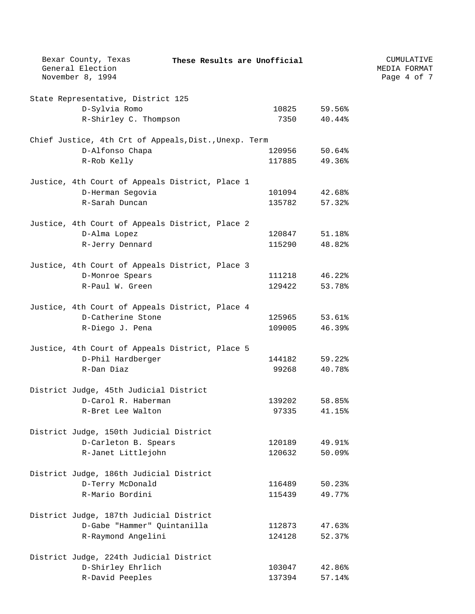| Bexar County, Texas<br>General Election<br>November 8, 1994 | These Results are Unofficial |        | CUMULATIVE<br>MEDIA FORMAT<br>Page 4 of 7 |
|-------------------------------------------------------------|------------------------------|--------|-------------------------------------------|
| State Representative, District 125                          |                              |        |                                           |
| D-Sylvia Romo                                               | 10825                        | 59.56% |                                           |
| R-Shirley C. Thompson                                       | 7350                         | 40.44% |                                           |
| Chief Justice, 4th Crt of Appeals, Dist., Unexp. Term       |                              |        |                                           |
| D-Alfonso Chapa                                             | 120956                       | 50.64% |                                           |
| R-Rob Kelly                                                 | 117885                       | 49.36% |                                           |
| Justice, 4th Court of Appeals District, Place 1             |                              |        |                                           |
| D-Herman Segovia                                            | 101094                       | 42.68% |                                           |
| R-Sarah Duncan                                              | 135782                       | 57.32% |                                           |
| Justice, 4th Court of Appeals District, Place 2             |                              |        |                                           |
| D-Alma Lopez                                                | 120847                       | 51.18% |                                           |
| R-Jerry Dennard                                             | 115290                       | 48.82% |                                           |
| Justice, 4th Court of Appeals District, Place 3             |                              |        |                                           |
| D-Monroe Spears                                             | 111218                       | 46.22% |                                           |
| R-Paul W. Green                                             | 129422                       | 53.78% |                                           |
| Justice, 4th Court of Appeals District, Place 4             |                              |        |                                           |
| D-Catherine Stone                                           | 125965                       | 53.61% |                                           |
| R-Diego J. Pena                                             | 109005                       | 46.39% |                                           |
| Justice, 4th Court of Appeals District, Place 5             |                              |        |                                           |
| D-Phil Hardberger                                           | 144182                       | 59.22% |                                           |
| R-Dan Diaz                                                  | 99268                        | 40.78% |                                           |
| District Judge, 45th Judicial District                      |                              |        |                                           |
| D-Carol R. Haberman                                         | 139202                       | 58.85% |                                           |
| R-Bret Lee Walton                                           | 97335                        | 41.15% |                                           |
| District Judge, 150th Judicial District                     |                              |        |                                           |
| D-Carleton B. Spears                                        | 120189                       | 49.91% |                                           |
| R-Janet Littlejohn                                          | 120632                       | 50.09% |                                           |
| District Judge, 186th Judicial District                     |                              |        |                                           |
| D-Terry McDonald                                            | 116489                       | 50.23% |                                           |
| R-Mario Bordini                                             | 115439                       | 49.77% |                                           |
| District Judge, 187th Judicial District                     |                              |        |                                           |
| D-Gabe "Hammer" Quintanilla                                 | 112873                       | 47.63% |                                           |
| R-Raymond Angelini                                          | 124128                       | 52.37% |                                           |
| District Judge, 224th Judicial District                     |                              |        |                                           |
| D-Shirley Ehrlich                                           | 103047                       | 42.86% |                                           |
| R-David Peeples                                             | 137394                       | 57.14% |                                           |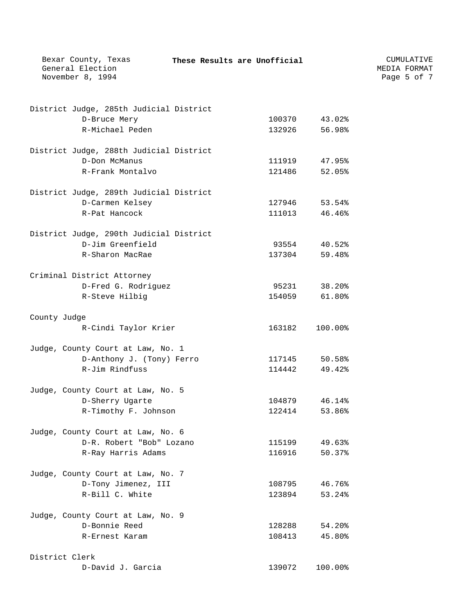| Bexar County, Texas<br>General Election<br>November 8, 1994 | These Results are Unofficial |         | CUMULATIVE<br>MEDIA FORMAT<br>Page 5 of 7 |
|-------------------------------------------------------------|------------------------------|---------|-------------------------------------------|
| District Judge, 285th Judicial District                     |                              |         |                                           |
| D-Bruce Mery                                                | 100370                       | 43.02%  |                                           |
| R-Michael Peden                                             | 132926                       | 56.98%  |                                           |
| District Judge, 288th Judicial District                     |                              |         |                                           |
| D-Don McManus                                               | 111919                       | 47.95%  |                                           |
| R-Frank Montalvo                                            | 121486                       | 52.05%  |                                           |
| District Judge, 289th Judicial District                     |                              |         |                                           |
| D-Carmen Kelsey                                             | 127946                       | 53.54%  |                                           |
| R-Pat Hancock                                               | 111013                       | 46.46%  |                                           |
| District Judge, 290th Judicial District                     |                              |         |                                           |
| D-Jim Greenfield                                            | 93554                        | 40.52%  |                                           |
| R-Sharon MacRae                                             | 137304                       | 59.48%  |                                           |
| Criminal District Attorney                                  |                              |         |                                           |
| D-Fred G. Rodriguez                                         | 95231                        | 38.20%  |                                           |
| R-Steve Hilbig                                              | 154059                       | 61.80%  |                                           |
| County Judge                                                |                              |         |                                           |
| R-Cindi Taylor Krier                                        | 163182                       | 100.00% |                                           |
| Judge, County Court at Law, No. 1                           |                              |         |                                           |
| D-Anthony J. (Tony) Ferro                                   | 117145                       | 50.58%  |                                           |
| R-Jim Rindfuss                                              | 114442                       | 49.42%  |                                           |
| Judge, County Court at Law, No. 5                           |                              |         |                                           |
| D-Sherry Ugarte                                             | 104879                       | 46.14%  |                                           |
| R-Timothy F. Johnson                                        | 122414                       | 53.86%  |                                           |
| Judge, County Court at Law, No. 6                           |                              |         |                                           |
| D-R. Robert "Bob" Lozano                                    | 115199                       | 49.63%  |                                           |
| R-Ray Harris Adams                                          | 116916                       | 50.37%  |                                           |
| Judge, County Court at Law, No. 7                           |                              |         |                                           |
| D-Tony Jimenez, III                                         | 108795                       | 46.76%  |                                           |
| R-Bill C. White                                             | 123894                       | 53.24%  |                                           |
| Judge, County Court at Law, No. 9                           |                              |         |                                           |
| D-Bonnie Reed                                               | 128288                       | 54.20%  |                                           |
| R-Ernest Karam                                              | 108413                       | 45.80%  |                                           |
| District Clerk                                              |                              |         |                                           |
| D-David J. Garcia                                           | 139072                       | 100.00% |                                           |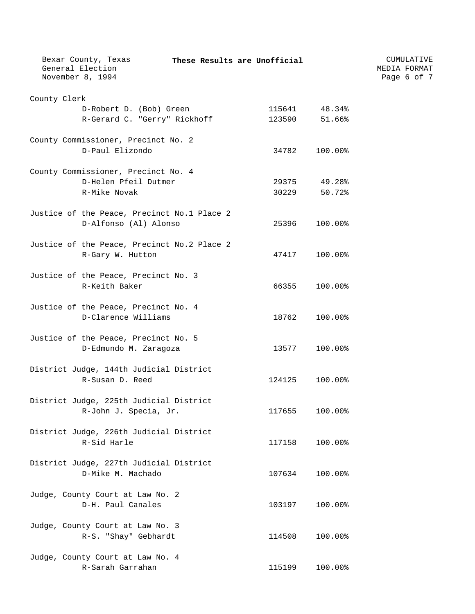| Bexar County, Texas<br>General Election                     | These Results are Unofficial |         | CUMULATIVE<br>MEDIA FORMAT |
|-------------------------------------------------------------|------------------------------|---------|----------------------------|
| November 8, 1994                                            |                              |         | Page 6 of 7                |
| County Clerk                                                |                              |         |                            |
| D-Robert D. (Bob) Green                                     | 115641                       | 48.34%  |                            |
| R-Gerard C. "Gerry" Rickhoff                                | 123590                       | 51.66%  |                            |
| County Commissioner, Precinct No. 2                         |                              |         |                            |
| D-Paul Elizondo                                             | 34782                        | 100.00% |                            |
| County Commissioner, Precinct No. 4                         |                              |         |                            |
| D-Helen Pfeil Dutmer                                        | 29375                        | 49.28%  |                            |
| R-Mike Novak                                                | 30229                        | 50.72%  |                            |
| Justice of the Peace, Precinct No.1 Place 2                 |                              |         |                            |
| D-Alfonso (Al) Alonso                                       | 25396                        | 100.00% |                            |
| Justice of the Peace, Precinct No.2 Place 2                 |                              |         |                            |
| R-Gary W. Hutton                                            | 47417                        | 100.00% |                            |
| Justice of the Peace, Precinct No. 3                        |                              |         |                            |
| R-Keith Baker                                               | 66355                        | 100.00% |                            |
|                                                             |                              |         |                            |
| Justice of the Peace, Precinct No. 4<br>D-Clarence Williams | 18762                        | 100.00% |                            |
|                                                             |                              |         |                            |
| Justice of the Peace, Precinct No. 5                        | 13577                        | 100.00% |                            |
| D-Edmundo M. Zaragoza                                       |                              |         |                            |
| District Judge, 144th Judicial District                     |                              |         |                            |
| R-Susan D. Reed                                             | 124125                       | 100.00% |                            |
| District Judge, 225th Judicial District                     |                              |         |                            |
| R-John J. Specia, Jr.                                       | 117655                       | 100.00% |                            |
| District Judge, 226th Judicial District                     |                              |         |                            |
| R-Sid Harle                                                 | 117158                       | 100.00% |                            |
| District Judge, 227th Judicial District                     |                              |         |                            |
| D-Mike M. Machado                                           | 107634                       | 100.00% |                            |
| Judge, County Court at Law No. 2                            |                              |         |                            |
| D-H. Paul Canales                                           | 103197                       | 100.00% |                            |
| Judge, County Court at Law No. 3                            |                              |         |                            |
| R-S. "Shay" Gebhardt                                        | 114508                       | 100.00% |                            |
| Judge, County Court at Law No. 4                            |                              |         |                            |
| R-Sarah Garrahan                                            | 115199                       | 100.00% |                            |